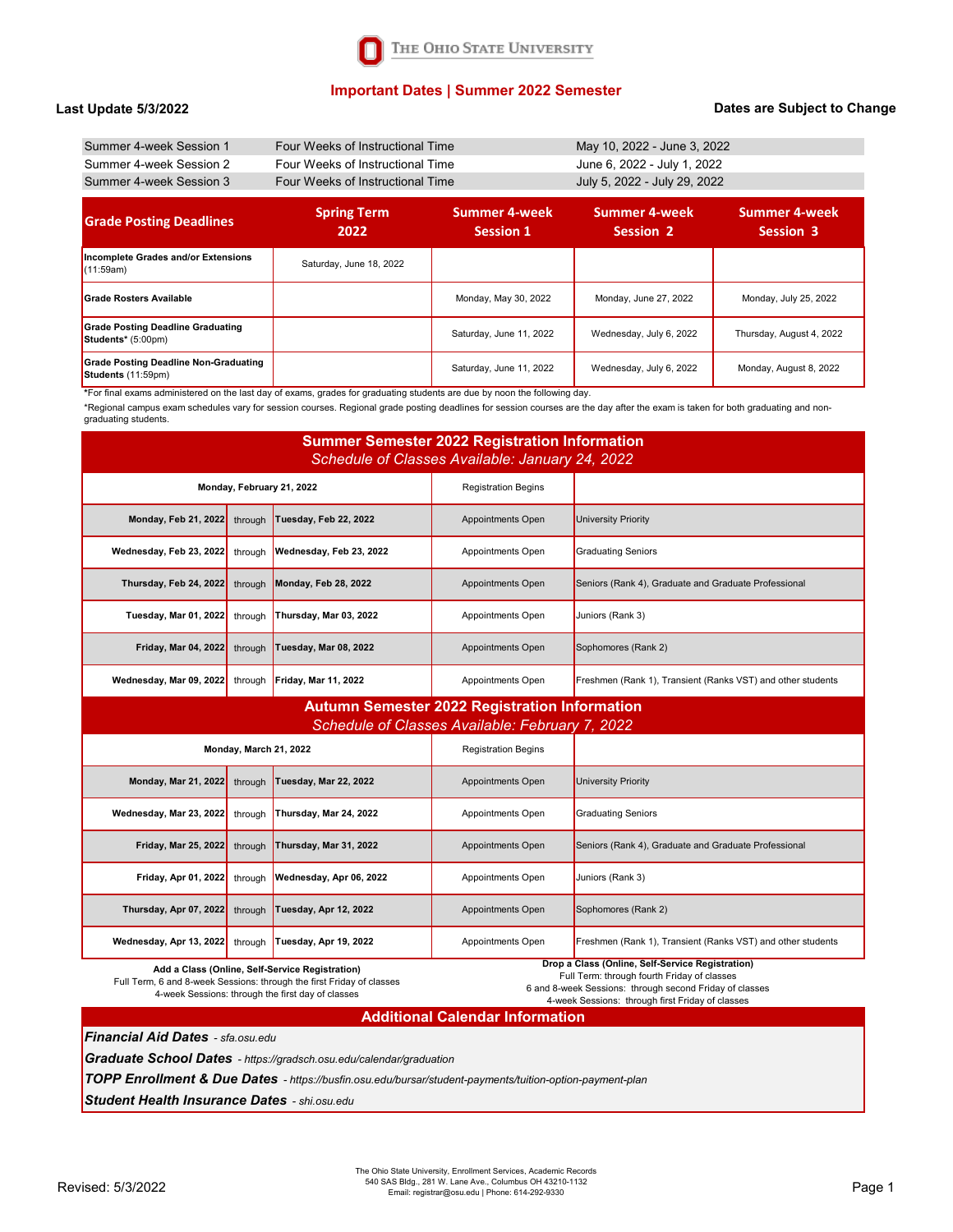# **Important Dates | Summer 2022 Semester**

#### **Last Update 5/3/2022**

### **Dates are Subject to Change**

| Summer 4-week Session 1 | Four Weeks of Instructional Time | May 10, 2022 - June 3, 2022  |
|-------------------------|----------------------------------|------------------------------|
| Summer 4-week Session 2 | Four Weeks of Instructional Time | June 6, 2022 - July 1, 2022  |
| Summer 4-week Session 3 | Four Weeks of Instructional Time | July 5, 2022 - July 29, 2022 |

| <b>Grade Posting Deadlines</b>                                     | <b>Spring Term</b><br>2022 | <b>Summer 4-week</b><br><b>Session 1</b> | Summer 4-week<br>Session 2 | Summer 4-week<br><b>Session 3</b> |
|--------------------------------------------------------------------|----------------------------|------------------------------------------|----------------------------|-----------------------------------|
| Incomplete Grades and/or Extensions<br>(11:59am)                   | Saturday, June 18, 2022    |                                          |                            |                                   |
| Grade Rosters Available                                            |                            | Monday, May 30, 2022                     | Monday, June 27, 2022      | Monday, July 25, 2022             |
| <b>Grade Posting Deadline Graduating</b><br>Students* (5:00pm)     |                            | Saturday, June 11, 2022                  | Wednesday, July 6, 2022    | Thursday, August 4, 2022          |
| <b>Grade Posting Deadline Non-Graduating</b><br>Students (11:59pm) |                            | Saturday, June 11, 2022                  | Wednesday, July 6, 2022    | Monday, August 8, 2022            |

**\***For final exams administered on the last day of exams, grades for graduating students are due by noon the following day.

\*Regional campus exam schedules vary for session courses. Regional grade posting deadlines for session courses are the day after the exam is taken for both graduating and nongraduating students.

| <b>Summer Semester 2022 Registration Information</b><br>Schedule of Classes Available: January 24, 2022 |         |                              |                            |                                                             |
|---------------------------------------------------------------------------------------------------------|---------|------------------------------|----------------------------|-------------------------------------------------------------|
| Monday, February 21, 2022                                                                               |         | <b>Registration Begins</b>   |                            |                                                             |
| <b>Monday, Feb 21, 2022</b>                                                                             | through | Tuesday, Feb 22, 2022        | Appointments Open          | <b>University Priority</b>                                  |
| Wednesday, Feb 23, 2022                                                                                 | through | Wednesday, Feb 23, 2022      | Appointments Open          | <b>Graduating Seniors</b>                                   |
| Thursday, Feb 24, 2022                                                                                  | through | Monday, Feb 28, 2022         | Appointments Open          | Seniors (Rank 4), Graduate and Graduate Professional        |
| Tuesday, Mar 01, 2022                                                                                   | through | Thursday, Mar 03, 2022       | Appointments Open          | Juniors (Rank 3)                                            |
| <b>Friday, Mar 04, 2022</b>                                                                             | through | <b>Tuesday, Mar 08, 2022</b> | Appointments Open          | Sophomores (Rank 2)                                         |
| Wednesday, Mar 09, 2022                                                                                 | through | <b>Friday, Mar 11, 2022</b>  | Appointments Open          | Freshmen (Rank 1), Transient (Ranks VST) and other students |
| <b>Autumn Semester 2022 Registration Information</b><br>Schedule of Classes Available: February 7, 2022 |         |                              |                            |                                                             |
| Monday, March 21, 2022                                                                                  |         |                              | <b>Registration Begins</b> |                                                             |
| <b>Monday, Mar 21, 2022</b>                                                                             | through | Tuesday, Mar 22, 2022        | Appointments Open          | University Priority                                         |

| <b>Monday, Mar 21, 2022</b>  | through | Tuesday, Mar 22, 2022   | Appointments Open | <b>University Priority</b>                                  |
|------------------------------|---------|-------------------------|-------------------|-------------------------------------------------------------|
| Wednesday, Mar 23, 2022      | throuah | Thursday, Mar 24, 2022  | Appointments Open | Graduating Seniors                                          |
| <b>Friday, Mar 25, 2022</b>  | through | Thursday, Mar 31, 2022  | Appointments Open | Seniors (Rank 4), Graduate and Graduate Professional        |
| Friday, Apr 01, 2022 through |         | Wednesday, Apr 06, 2022 | Appointments Open | Juniors (Rank 3)                                            |
| Thursday, Apr 07, 2022       | through | Tuesday, Apr 12, 2022   | Appointments Open | Sophomores (Rank 2)                                         |
| Wednesday, Apr 13, 2022      | through | Tuesday, Apr 19, 2022   | Appointments Open | Freshmen (Rank 1), Transient (Ranks VST) and other students |

**Add a Class (Online, Self-Service Registration)**  Full Term, 6 and 8-week Sessions: through the first Friday of classes 4-week Sessions: through the first day of classes

**Drop a Class (Online, Self-Service Registration)**  Full Term: through fourth Friday of classes

6 and 8-week Sessions: through second Friday of classes 4-week Sessions: through first Friday of classes

**Additional Calendar Information**

*Financial Aid Dates - sfa.osu.edu*

*Graduate School Dates - https://gradsch.osu.edu/calendar/graduation*

*TOPP Enrollment & Due Dates - https://busfin.osu.edu/bursar/student-payments/tuition-option-payment-plan*

*Student Health Insurance Dates - shi.osu.edu*